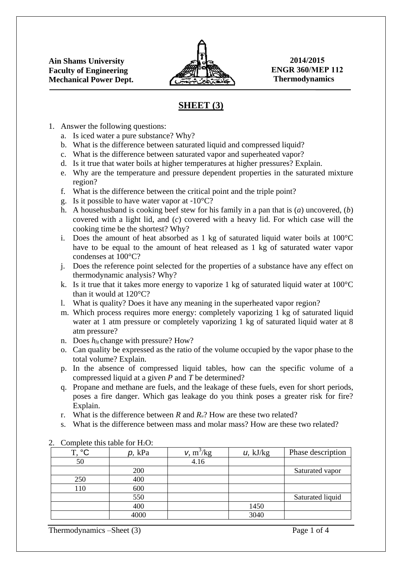

**2014/2015 ENGR 360/MEP 112 Thermodynamics** 

## **SHEET (3)**

- 1. Answer the following questions:
	- a. Is iced water a pure substance? Why?
	- b. What is the difference between saturated liquid and compressed liquid?
	- c. What is the difference between saturated vapor and superheated vapor?
	- d. Is it true that water boils at higher temperatures at higher pressures? Explain.
	- e. Why are the temperature and pressure dependent properties in the saturated mixture region?
	- f. What is the difference between the critical point and the triple point?
	- g. Is it possible to have water vapor at  $-10^{\circ}$ C?
	- h. A househusband is cooking beef stew for his family in a pan that is (*a*) uncovered, (*b*) covered with a light lid, and (*c*) covered with a heavy lid. For which case will the cooking time be the shortest? Why?
	- i. Does the amount of heat absorbed as 1 kg of saturated liquid water boils at 100°C have to be equal to the amount of heat released as 1 kg of saturated water vapor condenses at 100°C?
	- j. Does the reference point selected for the properties of a substance have any effect on thermodynamic analysis? Why?
	- k. Is it true that it takes more energy to vaporize 1 kg of saturated liquid water at  $100^{\circ}$ C than it would at 120°C?
	- l. What is quality? Does it have any meaning in the superheated vapor region?
	- m. Which process requires more energy: completely vaporizing 1 kg of saturated liquid water at 1 atm pressure or completely vaporizing 1 kg of saturated liquid water at 8 atm pressure?
	- n. Does  $h_{fs}$  change with pressure? How?
	- o. Can quality be expressed as the ratio of the volume occupied by the vapor phase to the total volume? Explain.
	- p. In the absence of compressed liquid tables, how can the specific volume of a compressed liquid at a given *P* and *T* be determined?
	- q. Propane and methane are fuels, and the leakage of these fuels, even for short periods, poses a fire danger. Which gas leakage do you think poses a greater risk for fire? Explain.
	- r. What is the difference between *R* and *Ru*? How are these two related?
	- s. What is the difference between mass and molar mass? How are these two related?

| T. °C | $p$ , kPa | v, m <sup>3</sup> /kg | $u$ , kJ/kg | Phase description |  |  |
|-------|-----------|-----------------------|-------------|-------------------|--|--|
| 50    |           | 4.16                  |             |                   |  |  |
|       | 200       |                       |             | Saturated vapor   |  |  |
| 250   | 400       |                       |             |                   |  |  |
| 110   | 600       |                       |             |                   |  |  |
|       | 550       |                       |             | Saturated liquid  |  |  |
|       | 400       |                       | 1450        |                   |  |  |
|       | 4000      |                       | 3040        |                   |  |  |

## 2. Complete this table for  $H_2O$ :

Thermodynamics –Sheet (3) Page 1 of 4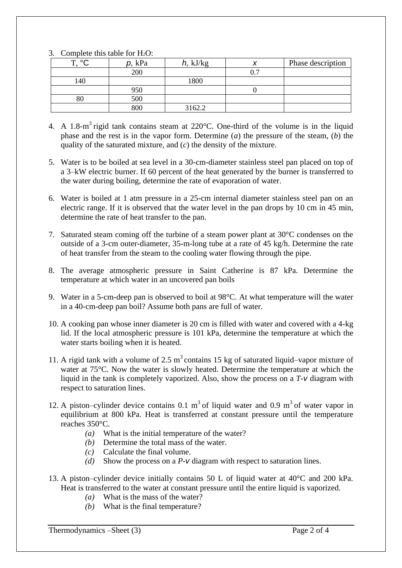| J .<br>$\sim$ compreted this table for Fig. |           |          |  |                   |  |  |
|---------------------------------------------|-----------|----------|--|-------------------|--|--|
| $\circ$<br>m                                | $p$ , kPa | h, kJ/kg |  | Phase description |  |  |
|                                             | 200       |          |  |                   |  |  |
| 140                                         |           | 1800     |  |                   |  |  |
|                                             | 950       |          |  |                   |  |  |
| 80                                          | 500       |          |  |                   |  |  |
|                                             | 800       | 3162.2   |  |                   |  |  |

## 3. Complete this table for  $H_2O$ .

- 4. A 1.8-m<sup>3</sup> rigid tank contains steam at 220 $^{\circ}$ C. One-third of the volume is in the liquid phase and the rest is in the vapor form. Determine (*a*) the pressure of the steam, (*b*) the quality of the saturated mixture, and (*c*) the density of the mixture.
- 5. Water is to be boiled at sea level in a 30-cm-diameter stainless steel pan placed on top of a 3–kW electric burner. If 60 percent of the heat generated by the burner is transferred to the water during boiling, determine the rate of evaporation of water.
- 6. Water is boiled at 1 atm pressure in a 25-cm internal diameter stainless steel pan on an electric range. If it is observed that the water level in the pan drops by 10 cm in 45 min, determine the rate of heat transfer to the pan.
- 7. Saturated steam coming off the turbine of a steam power plant at 30°C condenses on the outside of a 3-cm outer-diameter, 35-m-long tube at a rate of 45 kg/h. Determine the rate of heat transfer from the steam to the cooling water flowing through the pipe.
- 8. The average atmospheric pressure in Saint Catherine is 87 kPa. Determine the temperature at which water in an uncovered pan boils
- 9. Water in a 5-cm-deep pan is observed to boil at 98°C. At what temperature will the water in a 40-cm-deep pan boil? Assume both pans are full of water.
- 10. A cooking pan whose inner diameter is 20 cm is filled with water and covered with a 4-kg lid. If the local atmospheric pressure is 101 kPa, determine the temperature at which the water starts boiling when it is heated.
- 11. A rigid tank with a volume of 2.5  $m<sup>3</sup>$  contains 15 kg of saturated liquid–vapor mixture of water at 75°C. Now the water is slowly heated. Determine the temperature at which the liquid in the tank is completely vaporized. Also, show the process on a *T*-*v* diagram with respect to saturation lines.
- 12. A piston–cylinder device contains  $0.1 \text{ m}^3$  of liquid water and  $0.9 \text{ m}^3$  of water vapor in equilibrium at 800 kPa. Heat is transferred at constant pressure until the temperature reaches 350°C.
	- *(a)* What is the initial temperature of the water?
	- *(b)* Determine the total mass of the water.
	- *(c)* Calculate the final volume.
	- *(d)* Show the process on a *P*-*v* diagram with respect to saturation lines.
- 13. A piston–cylinder device initially contains 50 L of liquid water at 40°C and 200 kPa. Heat is transferred to the water at constant pressure until the entire liquid is vaporized.
	- *(a)* What is the mass of the water?
	- *(b)* What is the final temperature?

Thermodynamics –Sheet (3) Page 2 of 4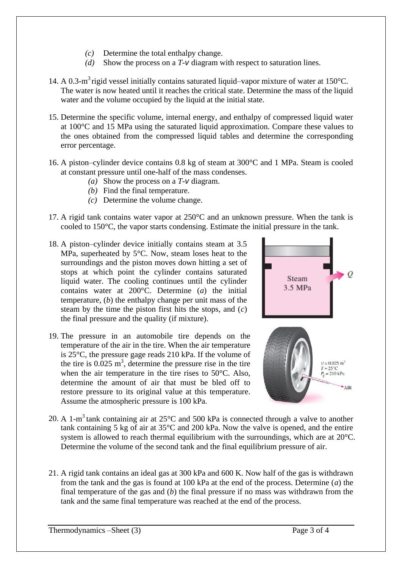- *(c)* Determine the total enthalpy change.
- *(d)* Show the process on a *T*-*v* diagram with respect to saturation lines.
- 14. A 0.3-m<sup>3</sup> rigid vessel initially contains saturated liquid–vapor mixture of water at 150°C. The water is now heated until it reaches the critical state. Determine the mass of the liquid water and the volume occupied by the liquid at the initial state.
- 15. Determine the specific volume, internal energy, and enthalpy of compressed liquid water at 100°C and 15 MPa using the saturated liquid approximation. Compare these values to the ones obtained from the compressed liquid tables and determine the corresponding error percentage.
- 16. A piston–cylinder device contains 0.8 kg of steam at 300°C and 1 MPa. Steam is cooled at constant pressure until one-half of the mass condenses.
	- *(a)* Show the process on a *T*-*v* diagram.
	- *(b)* Find the final temperature.
	- *(c)* Determine the volume change.
- 17. A rigid tank contains water vapor at 250°C and an unknown pressure. When the tank is cooled to 150°C, the vapor starts condensing. Estimate the initial pressure in the tank.
- 18. A piston–cylinder device initially contains steam at 3.5 MPa, superheated by 5°C. Now, steam loses heat to the surroundings and the piston moves down hitting a set of stops at which point the cylinder contains saturated liquid water. The cooling continues until the cylinder contains water at 200°C. Determine (*a*) the initial temperature, (*b*) the enthalpy change per unit mass of the steam by the time the piston first hits the stops, and (*c*) the final pressure and the quality (if mixture).
- 19. The pressure in an automobile tire depends on the temperature of the air in the tire. When the air temperature is 25°C, the pressure gage reads 210 kPa. If the volume of the tire is  $0.025 \text{ m}^3$ , determine the pressure rise in the tire when the air temperature in the tire rises to 50<sup>o</sup>C. Also, determine the amount of air that must be bled off to restore pressure to its original value at this temperature. Assume the atmospheric pressure is 100 kPa.



- 20. A 1-m<sup>3</sup> tank containing air at 25 $^{\circ}$ C and 500 kPa is connected through a valve to another tank containing 5 kg of air at 35°C and 200 kPa. Now the valve is opened, and the entire system is allowed to reach thermal equilibrium with the surroundings, which are at 20°C. Determine the volume of the second tank and the final equilibrium pressure of air.
- 21. A rigid tank contains an ideal gas at 300 kPa and 600 K. Now half of the gas is withdrawn from the tank and the gas is found at 100 kPa at the end of the process. Determine (*a*) the final temperature of the gas and (*b*) the final pressure if no mass was withdrawn from the tank and the same final temperature was reached at the end of the process.